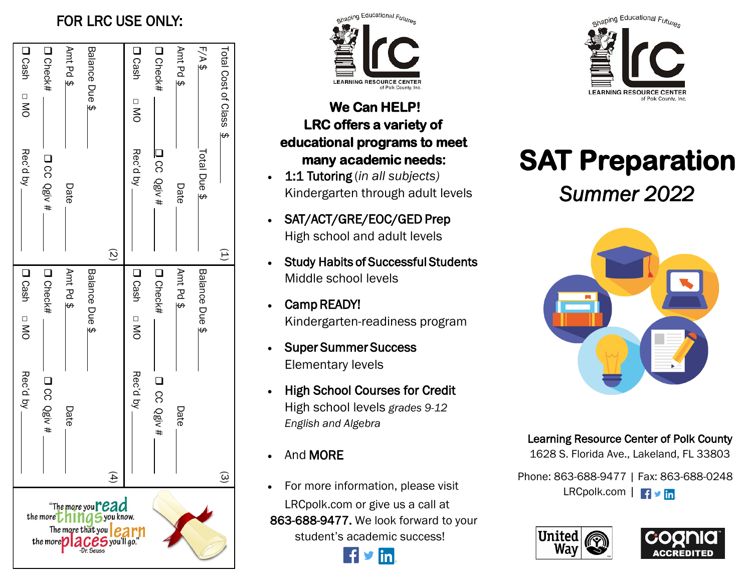## FOR LRC USE ONLY:

|                                                         | Rec'd by    | Doash DNO      | Rec'd by        | Doash DNO                       |
|---------------------------------------------------------|-------------|----------------|-----------------|---------------------------------|
| the more $\blacksquare$<br>the more $\bullet$           | D CC Qgiv # | D Check#       | D CC Qgiv #     | D Check#                        |
| The more that you                                       | Date        | Annt Pd \$     | Date            | Amt Pd \$                       |
| Dr. Seuss                                               |             | Balance Due \$ |                 | Balance Due \$                  |
| "The more youread<br><b>aSyou know.</b><br>, you'll go. |             |                | $\widetilde{Q}$ |                                 |
|                                                         | Rec'd by    | Doash DNO      | Rec'd by        | <b>D</b> Cash<br>$\overline{S}$ |
|                                                         | D CC Qgiv#  | D Check#       | 1 CC Qgiv#      | D Check#                        |
|                                                         | Date        | Annt Pd \$     | Date            | Annt Pd \$                      |
|                                                         |             | Balance Due \$ | Total Due \$    | $F/A$ \$                        |
|                                                         |             |                | Ê               | Total Cost of Class \$          |
|                                                         |             |                |                 |                                 |



## **We Can HELP! LRC offers a variety of educational programs to meet many academic needs:**

- 1:1 Tutoring (*in all subjects)* Kindergarten through adult levels
- SAT/ACT/GRE/EOC/GED Prep High school and adult levels
- Study Habits of Successful Students Middle school levels
- Camp READY! Kindergarten-readiness program
- Super Summer Success Elementary levels
- High School Courses for Credit High school levels *grades 9-12 English and Algebra*
- And MORE
- For more information, please visit LRCpolk.com or give us a call at 863-688-9477. We look forward to your student's academic success!





# **SAT Preparation**  *Summer 2022*



## Learning Resource Center of Polk County

1628 S. Florida Ave., Lakeland, FL 33803

Phone: 863-688-9477 | Fax: 863-688-0248 LRCpolk.com | F v in